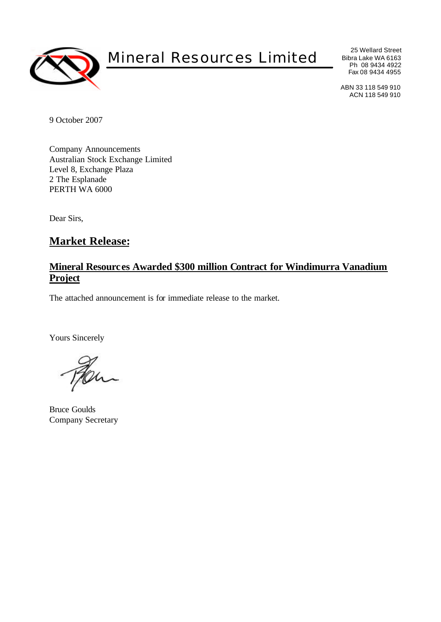

# Mineral Resources Limited

25 Wellard Street Bibra Lake WA 6163 Ph 08 9434 4922 Fax 08 9434 4955

ABN 33 118 549 910 ACN 118 549 910

9 October 2007

Company Announcements Australian Stock Exchange Limited Level 8, Exchange Plaza 2 The Esplanade PERTH WA 6000

Dear Sirs,

# **Market Release:**

## **Mineral Resources Awarded \$300 million Contract for Windimurra Vanadium Project**

The attached announcement is for immediate release to the market.

Yours Sincerely

Bruce Goulds Company Secretary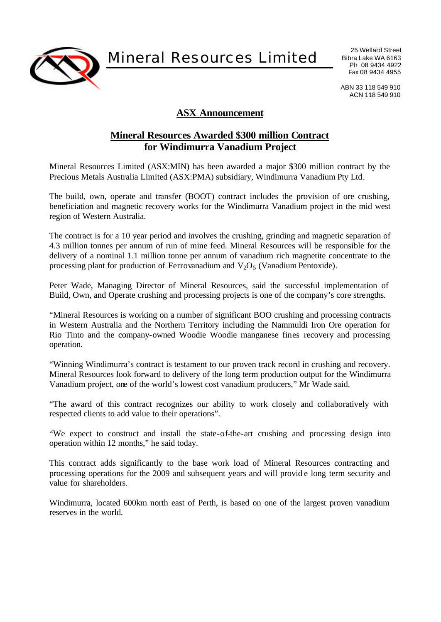

Mineral Resources Limited

25 Wellard Street Bibra Lake WA 6163 Ph 08 9434 4922 Fax 08 9434 4955

ABN 33 118 549 910 ACN 118 549 910

## **ASX Announcement**

## **Mineral Resources Awarded \$300 million Contract for Windimurra Vanadium Project**

Mineral Resources Limited (ASX:MIN) has been awarded a major \$300 million contract by the Precious Metals Australia Limited (ASX:PMA) subsidiary, Windimurra Vanadium Pty Ltd.

The build, own, operate and transfer (BOOT) contract includes the provision of ore crushing, beneficiation and magnetic recovery works for the Windimurra Vanadium project in the mid west region of Western Australia.

The contract is for a 10 year period and involves the crushing, grinding and magnetic separation of 4.3 million tonnes per annum of run of mine feed. Mineral Resources will be responsible for the delivery of a nominal 1.1 million tonne per annum of vanadium rich magnetite concentrate to the processing plant for production of Ferrovanadium and  $V_2O_5$  (Vanadium Pentoxide).

Peter Wade, Managing Director of Mineral Resources, said the successful implementation of Build, Own, and Operate crushing and processing projects is one of the company's core strengths.

"Mineral Resources is working on a number of significant BOO crushing and processing contracts in Western Australia and the Northern Territory including the Nammuldi Iron Ore operation for Rio Tinto and the company-owned Woodie Woodie manganese fines recovery and processing operation.

"Winning Windimurra's contract is testament to our proven track record in crushing and recovery. Mineral Resources look forward to delivery of the long term production output for the Windimurra Vanadium project, one of the world's lowest cost vanadium producers," Mr Wade said.

"The award of this contract recognizes our ability to work closely and collaboratively with respected clients to add value to their operations".

"We expect to construct and install the state-of-the-art crushing and processing design into operation within 12 months," he said today.

This contract adds significantly to the base work load of Mineral Resources contracting and processing operations for the 2009 and subsequent years and will provid e long term security and value for shareholders.

Windimurra, located 600km north east of Perth, is based on one of the largest proven vanadium reserves in the world.